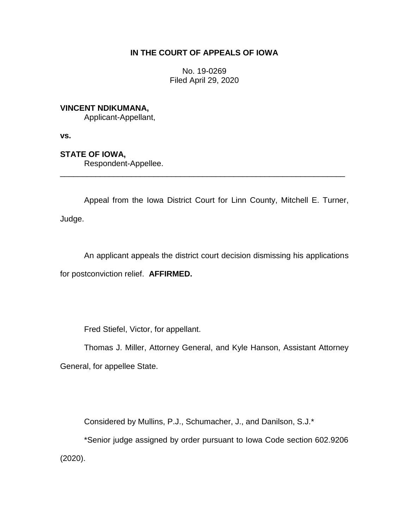# **IN THE COURT OF APPEALS OF IOWA**

No. 19-0269 Filed April 29, 2020

# **VINCENT NDIKUMANA,**

Applicant-Appellant,

**vs.**

# **STATE OF IOWA,**

Respondent-Appellee.

Appeal from the Iowa District Court for Linn County, Mitchell E. Turner, Judge.

\_\_\_\_\_\_\_\_\_\_\_\_\_\_\_\_\_\_\_\_\_\_\_\_\_\_\_\_\_\_\_\_\_\_\_\_\_\_\_\_\_\_\_\_\_\_\_\_\_\_\_\_\_\_\_\_\_\_\_\_\_\_\_\_

An applicant appeals the district court decision dismissing his applications for postconviction relief. **AFFIRMED.**

Fred Stiefel, Victor, for appellant.

Thomas J. Miller, Attorney General, and Kyle Hanson, Assistant Attorney General, for appellee State.

Considered by Mullins, P.J., Schumacher, J., and Danilson, S.J.\*

\*Senior judge assigned by order pursuant to Iowa Code section 602.9206 (2020).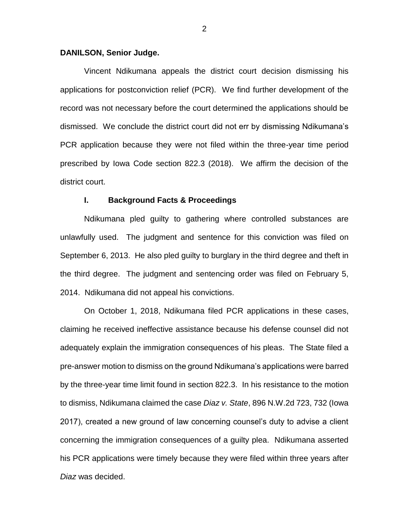## **DANILSON, Senior Judge.**

Vincent Ndikumana appeals the district court decision dismissing his applications for postconviction relief (PCR). We find further development of the record was not necessary before the court determined the applications should be dismissed. We conclude the district court did not err by dismissing Ndikumana's PCR application because they were not filed within the three-year time period prescribed by Iowa Code section 822.3 (2018). We affirm the decision of the district court.

### **I. Background Facts & Proceedings**

Ndikumana pled guilty to gathering where controlled substances are unlawfully used. The judgment and sentence for this conviction was filed on September 6, 2013. He also pled guilty to burglary in the third degree and theft in the third degree. The judgment and sentencing order was filed on February 5, 2014. Ndikumana did not appeal his convictions.

On October 1, 2018, Ndikumana filed PCR applications in these cases, claiming he received ineffective assistance because his defense counsel did not adequately explain the immigration consequences of his pleas. The State filed a pre-answer motion to dismiss on the ground Ndikumana's applications were barred by the three-year time limit found in section 822.3. In his resistance to the motion to dismiss, Ndikumana claimed the case *Diaz v. State*, 896 N.W.2d 723, 732 (Iowa 2017), created a new ground of law concerning counsel's duty to advise a client concerning the immigration consequences of a guilty plea. Ndikumana asserted his PCR applications were timely because they were filed within three years after *Diaz* was decided.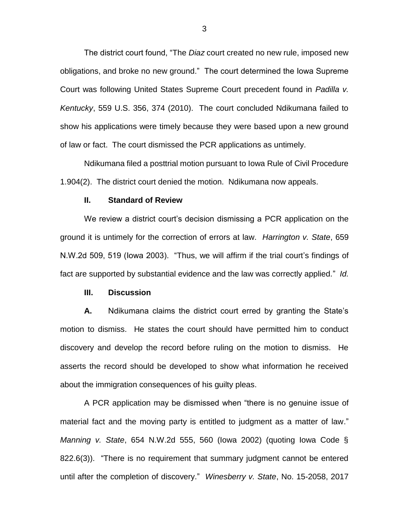The district court found, "The *Diaz* court created no new rule, imposed new obligations, and broke no new ground." The court determined the Iowa Supreme Court was following United States Supreme Court precedent found in *Padilla v. Kentucky*, 559 U.S. 356, 374 (2010). The court concluded Ndikumana failed to show his applications were timely because they were based upon a new ground of law or fact. The court dismissed the PCR applications as untimely.

Ndikumana filed a posttrial motion pursuant to Iowa Rule of Civil Procedure 1.904(2). The district court denied the motion. Ndikumana now appeals.

### **II. Standard of Review**

We review a district court's decision dismissing a PCR application on the ground it is untimely for the correction of errors at law. *Harrington v. State*, 659 N.W.2d 509, 519 (Iowa 2003). "Thus, we will affirm if the trial court's findings of fact are supported by substantial evidence and the law was correctly applied." *Id.*

## **III. Discussion**

**A.** Ndikumana claims the district court erred by granting the State's motion to dismiss. He states the court should have permitted him to conduct discovery and develop the record before ruling on the motion to dismiss. He asserts the record should be developed to show what information he received about the immigration consequences of his guilty pleas.

A PCR application may be dismissed when "there is no genuine issue of material fact and the moving party is entitled to judgment as a matter of law." *Manning v. State*, 654 N.W.2d 555, 560 (Iowa 2002) (quoting Iowa Code § 822.6(3)). "There is no requirement that summary judgment cannot be entered until after the completion of discovery." *Winesberry v. State*, No. 15-2058, 2017